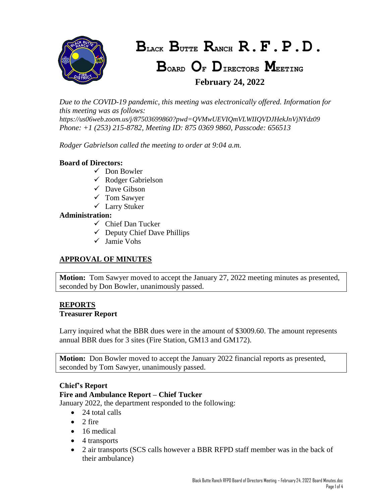

*Due to the COVID-19 pandemic, this meeting was electronically offered. Information for this meeting was as follows: https://us06web.zoom.us/j/87503699860?pwd=QVMwUEVIQmVLWIIQVDJHekJnVjNYdz09 Phone: +1 (253) 215-8782, Meeting ID: 875 0369 9860, Passcode: 656513*

*Rodger Gabrielson called the meeting to order at 9:04 a.m.*

### **Board of Directors:**

- $\checkmark$  Don Bowler
- $\checkmark$  Rodger Gabrielson
- $\checkmark$  Dave Gibson
- $\checkmark$  Tom Sawyer
- Larry Stuker

#### **Administration:**

- $\checkmark$  Chief Dan Tucker
- $\checkmark$  Deputy Chief Dave Phillips
- Jamie Vohs

### **APPROVAL OF MINUTES**

**Motion:** Tom Sawyer moved to accept the January 27, 2022 meeting minutes as presented, seconded by Don Bowler, unanimously passed.

# **REPORTS**

### **Treasurer Report**

Larry inquired what the BBR dues were in the amount of \$3009.60. The amount represents annual BBR dues for 3 sites (Fire Station, GM13 and GM172).

**Motion:** Don Bowler moved to accept the January 2022 financial reports as presented, seconded by Tom Sawyer, unanimously passed.

### **Chief's Report**

### **Fire and Ambulance Report – Chief Tucker**

January 2022, the department responded to the following:

- $\bullet$  24 total calls
- $\bullet$  2 fire
- 16 medical
- 4 transports
- 2 air transports (SCS calls however a BBR RFPD staff member was in the back of their ambulance)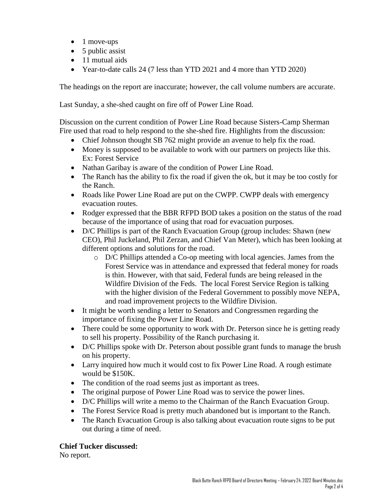- $\bullet$  1 move-ups
- $\bullet$  5 public assist
- 11 mutual aids
- Year-to-date calls 24 (7 less than YTD 2021 and 4 more than YTD 2020)

The headings on the report are inaccurate; however, the call volume numbers are accurate.

Last Sunday, a she-shed caught on fire off of Power Line Road.

Discussion on the current condition of Power Line Road because Sisters-Camp Sherman Fire used that road to help respond to the she-shed fire. Highlights from the discussion:

- Chief Johnson thought SB 762 might provide an avenue to help fix the road.
- Money is supposed to be available to work with our partners on projects like this. Ex: Forest Service
- Nathan Garibay is aware of the condition of Power Line Road.
- The Ranch has the ability to fix the road if given the ok, but it may be too costly for the Ranch.
- Roads like Power Line Road are put on the CWPP. CWPP deals with emergency evacuation routes.
- Rodger expressed that the BBR RFPD BOD takes a position on the status of the road because of the importance of using that road for evacuation purposes.
- D/C Phillips is part of the Ranch Evacuation Group (group includes: Shawn (new CEO), Phil Juckeland, Phil Zerzan, and Chief Van Meter), which has been looking at different options and solutions for the road.
	- o D/C Phillips attended a Co-op meeting with local agencies. James from the Forest Service was in attendance and expressed that federal money for roads is thin. However, with that said, Federal funds are being released in the Wildfire Division of the Feds. The local Forest Service Region is talking with the higher division of the Federal Government to possibly move NEPA, and road improvement projects to the Wildfire Division.
- It might be worth sending a letter to Senators and Congressmen regarding the importance of fixing the Power Line Road.
- There could be some opportunity to work with Dr. Peterson since he is getting ready to sell his property. Possibility of the Ranch purchasing it.
- D/C Phillips spoke with Dr. Peterson about possible grant funds to manage the brush on his property.
- Larry inquired how much it would cost to fix Power Line Road. A rough estimate would be \$150K.
- The condition of the road seems just as important as trees.
- The original purpose of Power Line Road was to service the power lines.
- D/C Phillips will write a memo to the Chairman of the Ranch Evacuation Group.
- The Forest Service Road is pretty much abandoned but is important to the Ranch.
- The Ranch Evacuation Group is also talking about evacuation route signs to be put out during a time of need.

### **Chief Tucker discussed:**

No report.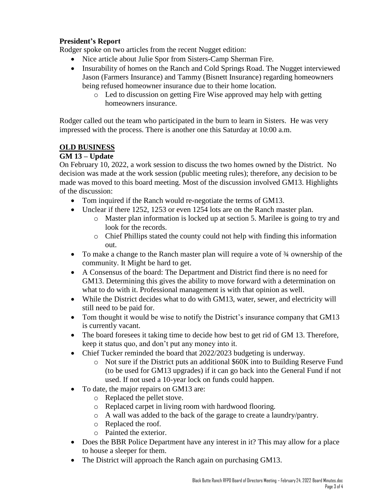### **President's Report**

Rodger spoke on two articles from the recent Nugget edition:

- Nice article about Julie Spor from Sisters-Camp Sherman Fire.
- Insurability of homes on the Ranch and Cold Springs Road. The Nugget interviewed Jason (Farmers Insurance) and Tammy (Bisnett Insurance) regarding homeowners being refused homeowner insurance due to their home location.
	- o Led to discussion on getting Fire Wise approved may help with getting homeowners insurance.

Rodger called out the team who participated in the burn to learn in Sisters. He was very impressed with the process. There is another one this Saturday at 10:00 a.m.

### **OLD BUSINESS**

### **GM 13 – Update**

On February 10, 2022, a work session to discuss the two homes owned by the District. No decision was made at the work session (public meeting rules); therefore, any decision to be made was moved to this board meeting. Most of the discussion involved GM13. Highlights of the discussion:

- Tom inquired if the Ranch would re-negotiate the terms of GM13.
- Unclear if there 1252, 1253 or even 1254 lots are on the Ranch master plan.
	- o Master plan information is locked up at section 5. Marilee is going to try and look for the records.
	- o Chief Phillips stated the county could not help with finding this information out.
- To make a change to the Ranch master plan will require a vote of 3<sup>4</sup> ownership of the community. It Might be hard to get.
- A Consensus of the board: The Department and District find there is no need for GM13. Determining this gives the ability to move forward with a determination on what to do with it. Professional management is with that opinion as well.
- While the District decides what to do with GM13, water, sewer, and electricity will still need to be paid for.
- Tom thought it would be wise to notify the District's insurance company that GM13 is currently vacant.
- The board foresees it taking time to decide how best to get rid of GM 13. Therefore, keep it status quo, and don't put any money into it.
- Chief Tucker reminded the board that 2022/2023 budgeting is underway.
	- o Not sure if the District puts an additional \$60K into to Building Reserve Fund (to be used for GM13 upgrades) if it can go back into the General Fund if not used. If not used a 10-year lock on funds could happen.
- To date, the major repairs on GM13 are:
	- o Replaced the pellet stove.
	- o Replaced carpet in living room with hardwood flooring.
	- o A wall was added to the back of the garage to create a laundry/pantry.
	- o Replaced the roof.
	- o Painted the exterior.
- Does the BBR Police Department have any interest in it? This may allow for a place to house a sleeper for them.
- The District will approach the Ranch again on purchasing GM13.